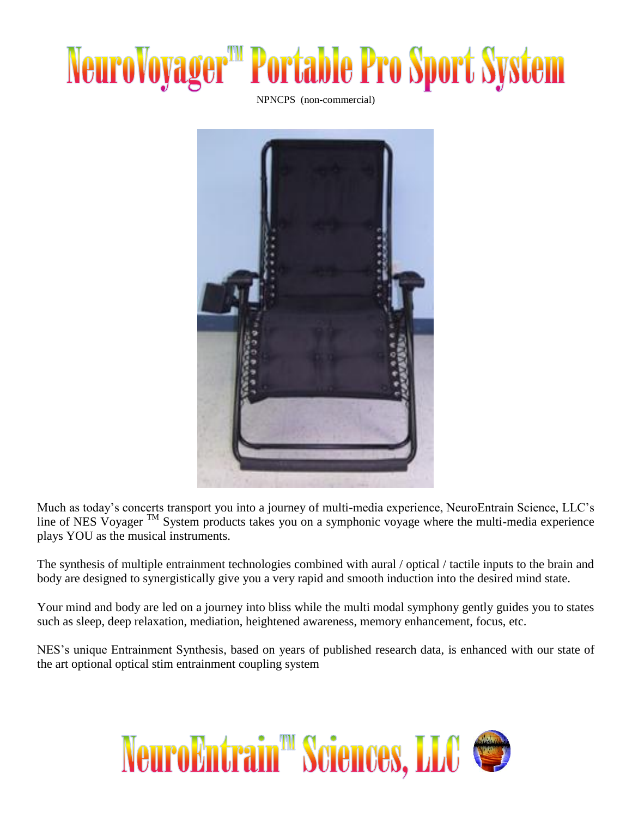## **NeuroVoyager<sup>"</sup> Portable Pro Sport System**

NPNCPS (non-commercial)



Much as today's concerts transport you into a journey of multi-media experience, NeuroEntrain Science, LLC's line of NES Voyager <sup>TM</sup> System products takes you on a symphonic voyage where the multi-media experience plays YOU as the musical instruments.

The synthesis of multiple entrainment technologies combined with aural / optical / tactile inputs to the brain and body are designed to synergistically give you a very rapid and smooth induction into the desired mind state.

Your mind and body are led on a journey into bliss while the multi modal symphony gently guides you to states such as sleep, deep relaxation, mediation, heightened awareness, memory enhancement, focus, etc.

NES's unique Entrainment Synthesis, based on years of published research data, is enhanced with our state of the art optional optical stim entrainment coupling system